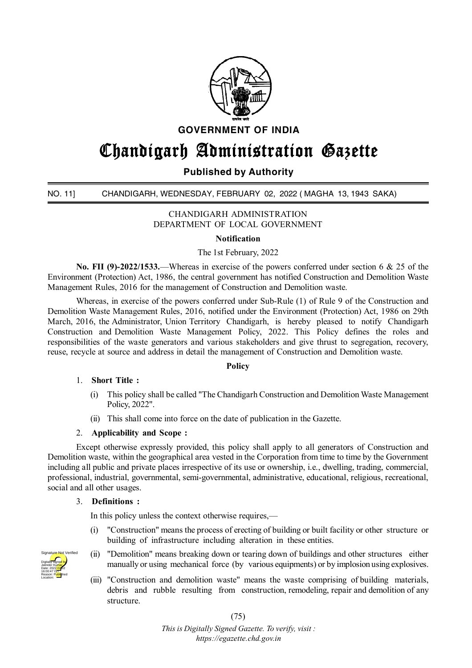

**GOVERNMENT OF INDIA**

# **Chandigarh Administration Gazette**

## **Published by Authority**

## NO. 11] CHANDIGARH, WEDNESDAY, FEBRUARY 02, 2022 ( MAGHA 13, 1943 SAKA)

CHANDIGARH ADMINISTRATION DEPARTMENT OF LOCAL GOVERNMENT

## **Notification**

The 1st February, 2022

**No. FII (9)-2022/1533.**—Whereas in exercise of the powers conferred under section 6 & 25 of the Environment (Protection) Act, 1986, the central government has notified Construction and Demolition Waste Management Rules, 2016 for the management of Construction and Demolition waste.

Whereas, in exercise of the powers conferred under Sub-Rule (1) of Rule 9 of the Construction and Demolition Waste Management Rules, 2016, notified under the Environment (Protection) Act, 1986 on 29th March, 2016, the Administrator, Union Territory Chandigarh, is hereby pleased to notify Chandigarh Construction and Demolition Waste Management Policy, 2022. This Policy defines the roles and responsibilities of the waste generators and various stakeholders and give thrust to segregation, recovery, reuse, recycle at source and address in detail the management of Construction and Demolition waste.

## **Policy**

#### 1. **Short Title :**

- (i) This policy shall be called "The Chandigarh Construction and Demolition Waste Management Policy, 2022".
- (ii) This shall come into force on the date of publication in the Gazette.

#### 2. **Applicability and Scope :**

Except otherwise expressly provided, this policy shall apply to all generators of Construction and Demolition waste, within the geographical area vested in the Corporation from time to time by the Government including all public and private places irrespective of its use or ownership, i.e., dwelling, trading, commercial, professional, industrial, governmental, semi-governmental, administrative, educational, religious, recreational, social and all other usages.

#### 3. **Definitions :**

In this policy unless the context otherwise requires,—

- (i) "Construction" means the process of erecting of building or built facility or other structure or building of infrastructure including alteration in these entities.
- (ii) "Demolition" means breaking down or tearing down of buildings and other structures either manually or using mechanical force (by various equipments) or by implosion using explosives.
- (iii) "Construction and demolition waste" means the waste comprising of building materials, debris and rubble resulting from construction, remodeling, repair and demolition of any structure.

(75)

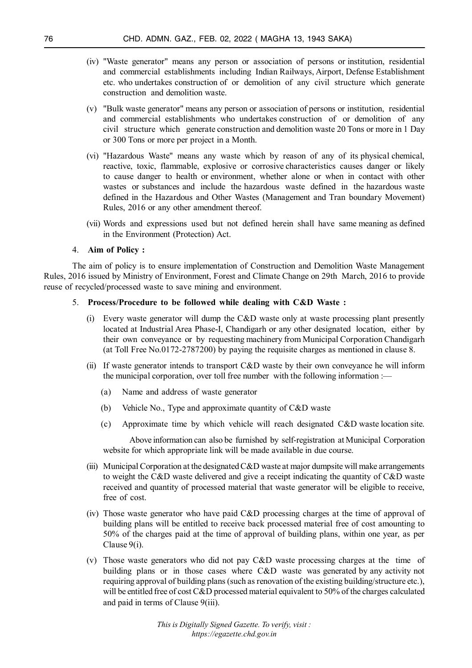- (iv) "Waste generator" means any person or association of persons or institution, residential and commercial establishments including Indian Railways, Airport, Defense Establishment etc. who undertakes construction of or demolition of any civil structure which generate construction and demolition waste.
- (v) "Bulk waste generator" means any person or association of persons or institution, residential and commercial establishments who undertakes construction of or demolition of any civil structure which generate construction and demolition waste 20 Tons or more in 1 Day or 300 Tons or more per project in a Month.
- (vi) "Hazardous Waste" means any waste which by reason of any of its physical chemical, reactive, toxic, flammable, explosive or corrosive characteristics causes danger or likely to cause danger to health or environment, whether alone or when in contact with other wastes or substances and include the hazardous waste defined in the hazardous waste defined in the Hazardous and Other Wastes (Management and Tran boundary Movement) Rules, 2016 or any other amendment thereof.
- (vii) Words and expressions used but not defined herein shall have same meaning as defined in the Environment (Protection) Act.

#### 4. **Aim of Policy :**

The aim of policy is to ensure implementation of Construction and Demolition Waste Management Rules, 2016 issued by Ministry of Environment, Forest and Climate Change on 29th March, 2016 to provide reuse of recycled/processed waste to save mining and environment.

#### 5. **Process/Procedure to be followed while dealing with C&D Waste :**

- (i) Every waste generator will dump the C&D waste only at waste processing plant presently located at Industrial Area Phase-I, Chandigarh or any other designated location, either by their own conveyance or by requesting machinery from Municipal Corporation Chandigarh (at Toll Free No.0172-2787200) by paying the requisite charges as mentioned in clause 8.
- (ii) If waste generator intends to transport C&D waste by their own conveyance he will inform the municipal corporation, over toll free number with the following information :—
	- (a) Name and address of waste generator
	- (b) Vehicle No., Type and approximate quantity of C&D waste
	- (c) Approximate time by which vehicle will reach designated C&D waste location site.

Above information can also be furnished by self-registration at Municipal Corporation website for which appropriate link will be made available in due course.

- (iii) Municipal Corporation at the designated C&D waste at major dumpsite will make arrangements to weight the C&D waste delivered and give a receipt indicating the quantity of C&D waste received and quantity of processed material that waste generator will be eligible to receive, free of cost.
- (iv) Those waste generator who have paid C&D processing charges at the time of approval of building plans will be entitled to receive back processed material free of cost amounting to 50% of the charges paid at the time of approval of building plans, within one year, as per Clause 9(i).
- (v) Those waste generators who did not pay C&D waste processing charges at the time of building plans or in those cases where C&D waste was generated by any activity not requiring approval of building plans (such as renovation of the existing building/structure etc.), will be entitled free of cost C&D processed material equivalent to 50% of the charges calculated and paid in terms of Clause 9(iii).

*This is Digitally Signed Gazette. To verify, visit : https://egazette.chd.gov.in*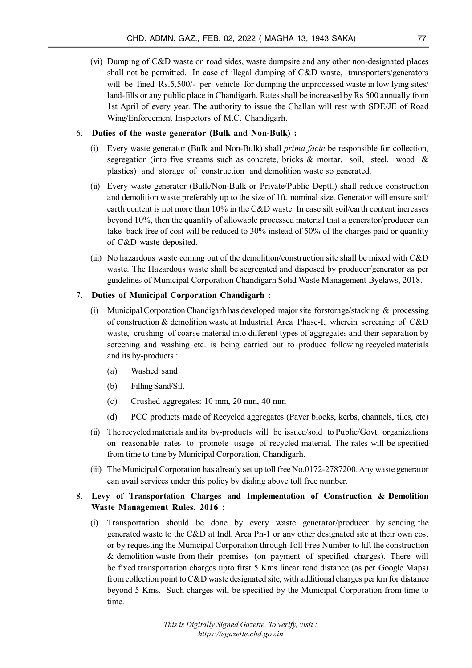(vi) Dumping of C&D waste on road sides, waste dumpsite and any other non-designated places shall not be permitted. In case of illegal dumping of C&D waste, transporters/generators will be fined Rs.5,500/- per vehicle for dumping the unprocessed waste in low lying sites/ land-fills or any public place in Chandigarh. Rates shall be increased by Rs 500 annually from 1st April of every year. The authority to issue the Challan will rest with SDE/JE of Road Wing/Enforcement Inspectors of M.C. Chandigarh.

#### 6. **Duties of the waste generator (Bulk and Non-Bulk) :**

- (i) Every waste generator (Bulk and Non-Bulk) shall *prima facie* be responsible for collection, segregation (into five streams such as concrete, bricks & mortar, soil, steel, wood & plastics) and storage of construction and demolition waste so generated.
- (ii) Every waste generator (Bulk/Non-Bulk or Private/Public Deptt.) shall reduce construction and demolition waste preferably up to the size of 1ft. nominal size. Generator will ensure soil/ earth content is not more than 10% in the C&D waste. In case silt soil/earth content increases beyond 10%, then the quantity of allowable processed material that a generator/producer can take back free of cost will be reduced to 30% instead of 50% of the charges paid or quantity of C&D waste deposited.
- (iii) No hazardous waste coming out of the demolition/construction site shall be mixed with C&D waste. The Hazardous waste shall be segregated and disposed by producer/generator as per guidelines of Municipal Corporation Chandigarh Solid Waste Management Byelaws, 2018.

## 7. **Duties of Municipal Corporation Chandigarh :**

- (i) Municipal Corporation Chandigarh has developed major site forstorage/stacking  $\&$  processing of construction & demolition waste at Industrial Area Phase-I, wherein screening of C&D waste, crushing of coarse material into different types of aggregates and their separation by screening and washing etc. is being carried out to produce following recycled materials and its by-products :
	- (a) Washed sand
	- (b) Filling Sand/Silt
	- (c) Crushed aggregates: 10 mm, 20 mm, 40 mm
	- (d) PCC products made of Recycled aggregates (Paver blocks, kerbs, channels, tiles, etc)
- (ii) The recycled materials and its by-products will be issued/sold to Public/Govt. organizations on reasonable rates to promote usage of recycled material. The rates will be specified from time to time by Municipal Corporation, Chandigarh.
- (iii) The Municipal Corporation has already set up toll free No.0172-2787200. Any waste generator can avail services under this policy by dialing above toll free number.

## 8. **Levy of Transportation Charges and Implementation of Construction & Demolition Waste Management Rules, 2016 :**

(i) Transportation should be done by every waste generator/producer by sending the generated waste to the C&D at Indl. Area Ph-1 or any other designated site at their own cost or by requesting the Municipal Corporation through Toll Free Number to lift the construction & demolition waste from their premises (on payment of specified charges). There will be fixed transportation charges upto first 5 Kms linear road distance (as per Google Maps) from collection point to  $C&D$  waste designated site, with additional charges per km for distance beyond 5 Kms. Such charges will be specified by the Municipal Corporation from time to time.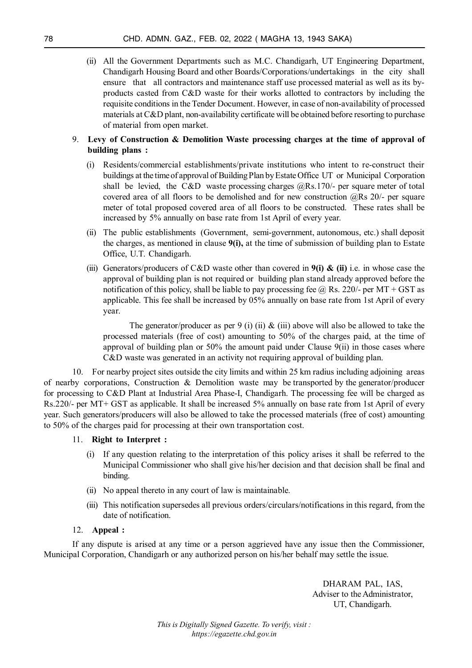(ii) All the Government Departments such as M.C. Chandigarh, UT Engineering Department, Chandigarh Housing Board and other Boards/Corporations/undertakings in the city shall ensure that all contractors and maintenance staff use processed material as well as its byproducts casted from C&D waste for their works allotted to contractors by including the requisite conditions in the Tender Document. However, in case of non-availability of processed materials at C&D plant, non-availability certificate will be obtained before resorting to purchase of material from open market.

## 9. **Levy of Construction & Demolition Waste processing charges at the time of approval of building plans :**

- (i) Residents/commercial establishments/private institutions who intent to re-construct their buildings at the time of approval of Building Plan by Estate Office UT or Municipal Corporation shall be levied, the C&D waste processing charges  $@Rs.170/-$  per square meter of total covered area of all floors to be demolished and for new construction  $@Rs$  20/- per square meter of total proposed covered area of all floors to be constructed. These rates shall be increased by 5% annually on base rate from 1st April of every year.
- (ii) The public establishments (Government, semi-government, autonomous, etc.) shall deposit the charges, as mentioned in clause **9(i),** at the time of submission of building plan to Estate Office, U.T. Chandigarh.
- (iii) Generators/producers of C&D waste other than covered in **9(i) & (ii)** i.e. in whose case the approval of building plan is not required or building plan stand already approved before the notification of this policy, shall be liable to pay processing fee  $\omega$  Rs. 220/- per MT + GST as applicable. This fee shall be increased by 05% annually on base rate from 1st April of every year.

The generator/producer as per 9 (i) (ii)  $\&$  (iii) above will also be allowed to take the processed materials (free of cost) amounting to 50% of the charges paid, at the time of approval of building plan or  $50\%$  the amount paid under Clause  $9(i)$  in those cases where C&D waste was generated in an activity not requiring approval of building plan.

10. For nearby project sites outside the city limits and within 25 km radius including adjoining areas of nearby corporations, Construction & Demolition waste may be transported by the generator/producer for processing to C&D Plant at Industrial Area Phase-I, Chandigarh. The processing fee will be charged as Rs.220/- per MT+ GST as applicable. It shall be increased 5% annually on base rate from 1st April of every year. Such generators/producers will also be allowed to take the processed materials (free of cost) amounting to 50% of the charges paid for processing at their own transportation cost.

## 11. **Right to Interpret :**

- (i) If any question relating to the interpretation of this policy arises it shall be referred to the Municipal Commissioner who shall give his/her decision and that decision shall be final and binding.
- (ii) No appeal thereto in any court of law is maintainable.
- (iii) This notification supersedes all previous orders/circulars/notifications in this regard, from the date of notification.

## 12. **Appeal :**

If any dispute is arised at any time or a person aggrieved have any issue then the Commissioner, Municipal Corporation, Chandigarh or any authorized person on his/her behalf may settle the issue.

> DHARAM PAL, IAS, Adviser to the Administrator, UT, Chandigarh.